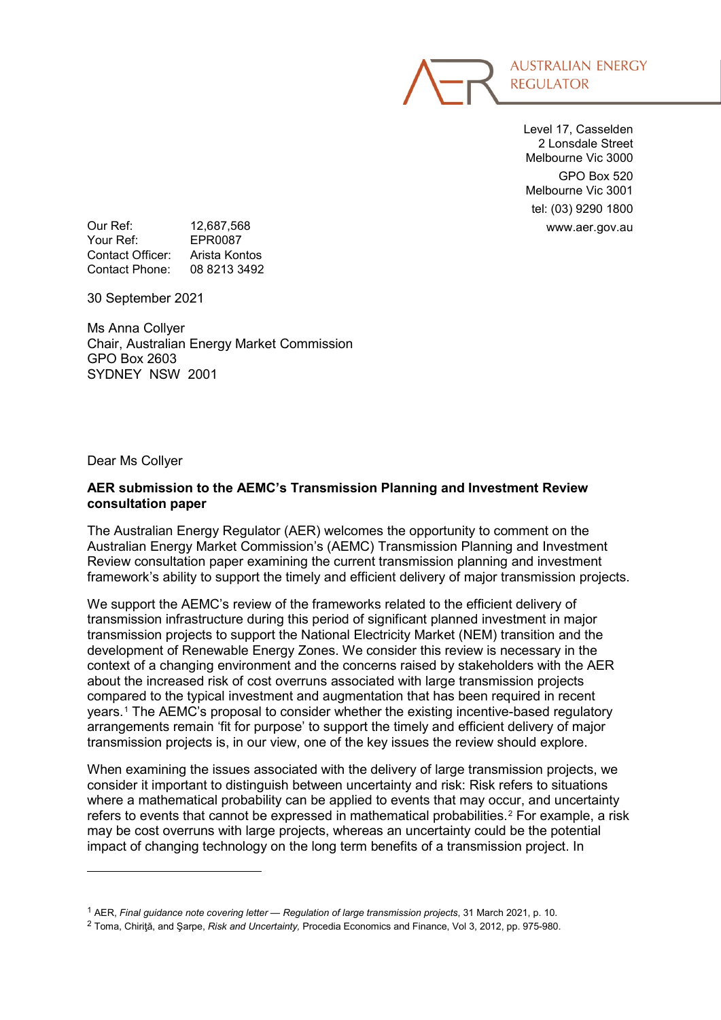

Level 17, Casselden 2 Lonsdale Street Melbourne Vic 3000 GPO Box 520 Melbourne Vic 3001 tel: (03) 9290 1800

Our Ref: 12,687,568 and 12,687,568 www.aer.gov.au<br>Your Ref: FPR0087 Your Ref: Contact Officer: Arista Kontos Contact Phone: 08 8213 3492

30 September 2021

Ms Anna Collyer Chair, Australian Energy Market Commission GPO Box 2603 SYDNEY NSW 2001

Dear Ms Collyer

-

# **AER submission to the AEMC's Transmission Planning and Investment Review consultation paper**

The Australian Energy Regulator (AER) welcomes the opportunity to comment on the Australian Energy Market Commission's (AEMC) Transmission Planning and Investment Review consultation paper examining the current transmission planning and investment framework's ability to support the timely and efficient delivery of major transmission projects.

We support the AEMC's review of the frameworks related to the efficient delivery of transmission infrastructure during this period of significant planned investment in major transmission projects to support the National Electricity Market (NEM) transition and the development of Renewable Energy Zones. We consider this review is necessary in the context of a changing environment and the concerns raised by stakeholders with the AER about the increased risk of cost overruns associated with large transmission projects compared to the typical investment and augmentation that has been required in recent years.[1](#page-0-0) The AEMC's proposal to consider whether the existing incentive-based regulatory arrangements remain 'fit for purpose' to support the timely and efficient delivery of major transmission projects is, in our view, one of the key issues the review should explore.

When examining the issues associated with the delivery of large transmission projects, we consider it important to distinguish between uncertainty and risk: Risk refers to situations where a mathematical probability can be applied to events that may occur, and uncertainty refers to events that cannot be expressed in mathematical probabilities.[2](#page-0-1) For example, a risk may be cost overruns with large projects, whereas an uncertainty could be the potential impact of changing technology on the long term benefits of a transmission project. In

<span id="page-0-0"></span><sup>1</sup> AER, *Final guidance note covering letter — Regulation of large transmission projects*, 31 March 2021, p. 10.

<span id="page-0-1"></span><sup>2</sup> Toma, Chiriţă, and Şarpe, *Risk and Uncertainty,* Procedia Economics and Finance, Vol 3, 2012, pp. 975-980.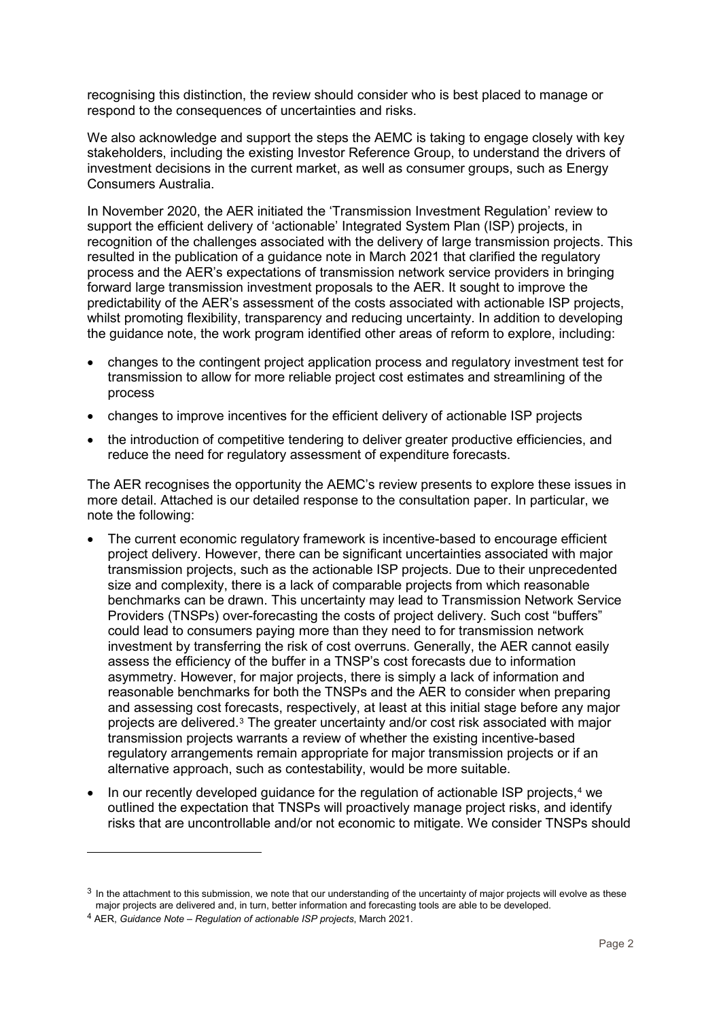recognising this distinction, the review should consider who is best placed to manage or respond to the consequences of uncertainties and risks.

We also acknowledge and support the steps the AEMC is taking to engage closely with key stakeholders, including the existing Investor Reference Group, to understand the drivers of investment decisions in the current market, as well as consumer groups, such as Energy Consumers Australia.

In November 2020, the AER initiated the 'Transmission Investment Regulation' review to support the efficient delivery of 'actionable' Integrated System Plan (ISP) projects, in recognition of the challenges associated with the delivery of large transmission projects. This resulted in the publication of a guidance note in March 2021 that clarified the regulatory process and the AER's expectations of transmission network service providers in bringing forward large transmission investment proposals to the AER. It sought to improve the predictability of the AER's assessment of the costs associated with actionable ISP projects, whilst promoting flexibility, transparency and reducing uncertainty. In addition to developing the guidance note, the work program identified other areas of reform to explore, including:

- changes to the contingent project application process and regulatory investment test for transmission to allow for more reliable project cost estimates and streamlining of the process
- changes to improve incentives for the efficient delivery of actionable ISP projects
- the introduction of competitive tendering to deliver greater productive efficiencies, and reduce the need for regulatory assessment of expenditure forecasts.

The AER recognises the opportunity the AEMC's review presents to explore these issues in more detail. Attached is our detailed response to the consultation paper. In particular, we note the following:

- The current economic regulatory framework is incentive-based to encourage efficient project delivery. However, there can be significant uncertainties associated with major transmission projects, such as the actionable ISP projects. Due to their unprecedented size and complexity, there is a lack of comparable projects from which reasonable benchmarks can be drawn. This uncertainty may lead to Transmission Network Service Providers (TNSPs) over-forecasting the costs of project delivery. Such cost "buffers" could lead to consumers paying more than they need to for transmission network investment by transferring the risk of cost overruns. Generally, the AER cannot easily assess the efficiency of the buffer in a TNSP's cost forecasts due to information asymmetry. However, for major projects, there is simply a lack of information and reasonable benchmarks for both the TNSPs and the AER to consider when preparing and assessing cost forecasts, respectively, at least at this initial stage before any major projects are delivered.[3](#page-1-0) The greater uncertainty and/or cost risk associated with major transmission projects warrants a review of whether the existing incentive-based regulatory arrangements remain appropriate for major transmission projects or if an alternative approach, such as contestability, would be more suitable.
- In our recently developed guidance for the regulation of actionable ISP projects,<sup>[4](#page-1-1)</sup> we outlined the expectation that TNSPs will proactively manage project risks, and identify risks that are uncontrollable and/or not economic to mitigate. We consider TNSPs should

<span id="page-1-0"></span> $3$  In the attachment to this submission, we note that our understanding of the uncertainty of major projects will evolve as these major projects are delivered and, in turn, better information and forecasting tools are able to be developed.

<span id="page-1-1"></span><sup>4</sup> AER, *Guidance Note – Regulation of actionable ISP projects*, March 2021.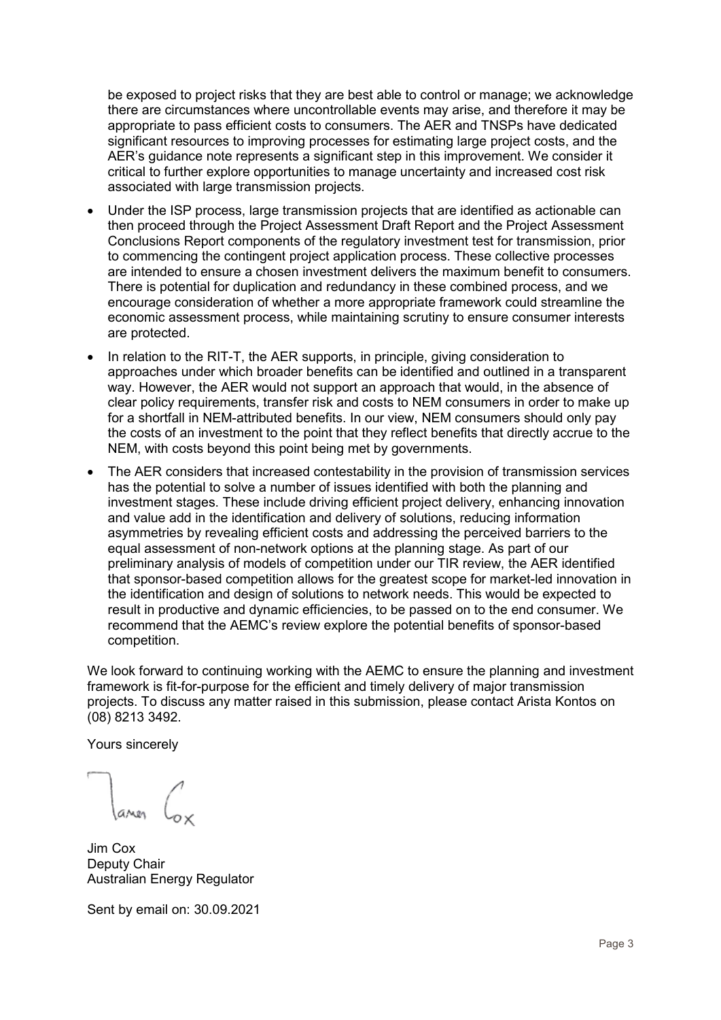be exposed to project risks that they are best able to control or manage; we acknowledge there are circumstances where uncontrollable events may arise, and therefore it may be appropriate to pass efficient costs to consumers. The AER and TNSPs have dedicated significant resources to improving processes for estimating large project costs, and the AER's guidance note represents a significant step in this improvement. We consider it critical to further explore opportunities to manage uncertainty and increased cost risk associated with large transmission projects.

- Under the ISP process, large transmission projects that are identified as actionable can then proceed through the Project Assessment Draft Report and the Project Assessment Conclusions Report components of the regulatory investment test for transmission, prior to commencing the contingent project application process. These collective processes are intended to ensure a chosen investment delivers the maximum benefit to consumers. There is potential for duplication and redundancy in these combined process, and we encourage consideration of whether a more appropriate framework could streamline the economic assessment process, while maintaining scrutiny to ensure consumer interests are protected.
- In relation to the RIT-T, the AER supports, in principle, giving consideration to approaches under which broader benefits can be identified and outlined in a transparent way. However, the AER would not support an approach that would, in the absence of clear policy requirements, transfer risk and costs to NEM consumers in order to make up for a shortfall in NEM-attributed benefits. In our view, NEM consumers should only pay the costs of an investment to the point that they reflect benefits that directly accrue to the NEM, with costs beyond this point being met by governments.
- The AER considers that increased contestability in the provision of transmission services has the potential to solve a number of issues identified with both the planning and investment stages. These include driving efficient project delivery, enhancing innovation and value add in the identification and delivery of solutions, reducing information asymmetries by revealing efficient costs and addressing the perceived barriers to the equal assessment of non-network options at the planning stage. As part of our preliminary analysis of models of competition under our TIR review, the AER identified that sponsor-based competition allows for the greatest scope for market-led innovation in the identification and design of solutions to network needs. This would be expected to result in productive and dynamic efficiencies, to be passed on to the end consumer. We recommend that the AEMC's review explore the potential benefits of sponsor-based competition.

We look forward to continuing working with the AEMC to ensure the planning and investment framework is fit-for-purpose for the efficient and timely delivery of major transmission projects. To discuss any matter raised in this submission, please contact Arista Kontos on (08) 8213 3492.

Yours sincerely

Jim Cox Deputy Chair Australian Energy Regulator

Sent by email on: 30.09.2021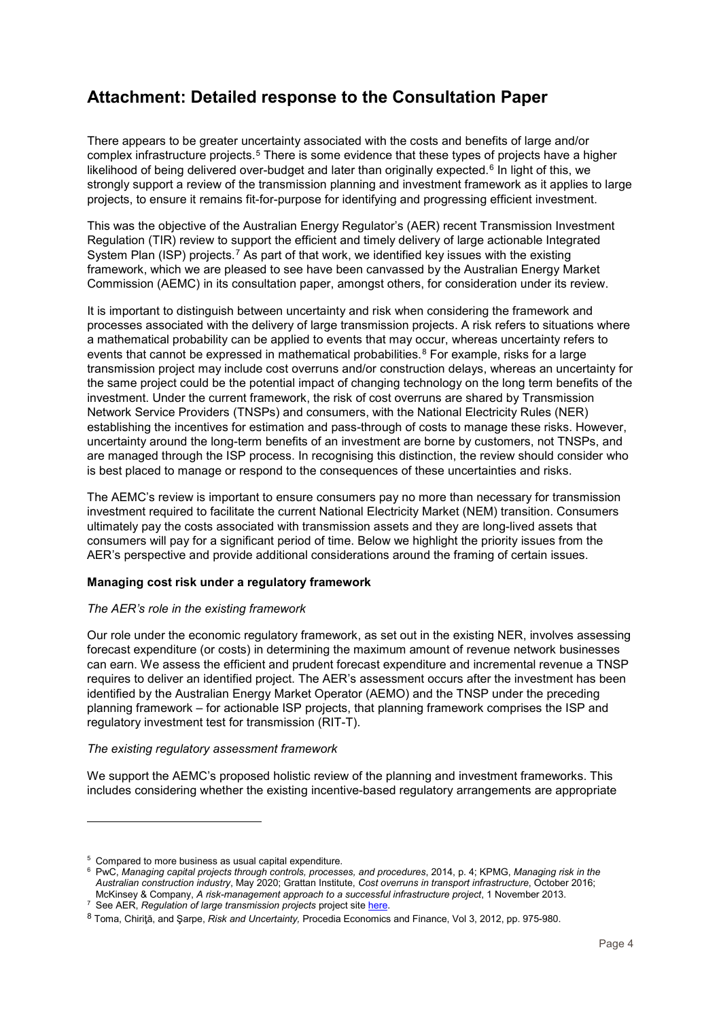# **Attachment: Detailed response to the Consultation Paper**

There appears to be greater uncertainty associated with the costs and benefits of large and/or complex infrastructure projects.5 There is some evidence that these types of projects have a higher likelihood of being deliv[er](#page-3-0)ed over-budget and later than originally expected.<sup>6</sup> In light of this, we strongly support a review of the transmission planning and investment fram[e](#page-3-1)work as it applies to large projects, to ensure it remains fit-for-purpose for identifying and progressing efficient investment.

This was the objective of the Australian Energy Regulator's (AER) recent Transmission Investment Regulation (TIR) review to support the efficient and timely delivery of large actionable Integrated System Plan (ISP) projects.7 As part of that work, we identified key issues with the existing framework, which we are pl[e](#page-3-2)ased to see have been canvassed by the Australian Energy Market Commission (AEMC) in its consultation paper, amongst others, for consideration under its review.

It is important to distinguish between uncertainty and risk when considering the framework and processes associated with the delivery of large transmission projects. A risk refers to situations where a mathematical probability can be applied to events that may occur, whereas uncertainty refers to events that cannot be expressed in mathematical probabilities.<sup>8</sup> For example, risks for a large transmission project may include cost overruns and/or constru[ct](#page-3-3)ion delays, whereas an uncertainty for the same project could be the potential impact of changing technology on the long term benefits of the investment. Under the current framework, the risk of cost overruns are shared by Transmission Network Service Providers (TNSPs) and consumers, with the National Electricity Rules (NER) establishing the incentives for estimation and pass-through of costs to manage these risks. However, uncertainty around the long-term benefits of an investment are borne by customers, not TNSPs, and are managed through the ISP process. In recognising this distinction, the review should consider who is best placed to manage or respond to the consequences of these uncertainties and risks.

The AEMC's review is important to ensure consumers pay no more than necessary for transmission investment required to facilitate the current National Electricity Market (NEM) transition. Consumers ultimately pay the costs associated with transmission assets and they are long-lived assets that consumers will pay for a significant period of time. Below we highlight the priority issues from the AER's perspective and provide additional considerations around the framing of certain issues.

# **Managing cost risk under a regulatory framework**

# *The AER's role in the existing framework*

Our role under the economic regulatory framework, as set out in the existing NER, involves assessing forecast expenditure (or costs) in determining the maximum amount of revenue network businesses can earn. We assess the efficient and prudent forecast expenditure and incremental revenue a TNSP requires to deliver an identified project. The AER's assessment occurs after the investment has been identified by the Australian Energy Market Operator (AEMO) and the TNSP under the preceding planning framework – for actionable ISP projects, that planning framework comprises the ISP and regulatory investment test for transmission (RIT-T).

## *The existing regulatory assessment framework*

We support the AEMC's proposed holistic review of the planning and investment frameworks. This includes considering whether the existing incentive-based regulatory arrangements are appropriate

<sup>5</sup> Compared to more business as usual capital expenditure.

<span id="page-3-1"></span><span id="page-3-0"></span><sup>6</sup> PwC, *Managing capital projects through controls, processes, and procedures*, 2014, p. 4; KPMG, *Managing risk in the Australian construction industry*, May 2020; Grattan Institute, *Cost overruns in transport infrastructure*, October 2016; McKinsey & Company, *A risk-management approach to a successful infrastructure project*, 1 November 2013.

<sup>&</sup>lt;sup>7</sup> See AER, *Regulation of large transmission projects* project site [here.](https://www.aer.gov.au/networks-pipelines/guidelines-schemes-models-reviews/regulation-of-large-transmission-projects)

<span id="page-3-3"></span><span id="page-3-2"></span><sup>8</sup> Toma, Chiriţă, and Şarpe, *Risk and Uncertainty,* Procedia Economics and Finance, Vol 3, 2012, pp. 975-980.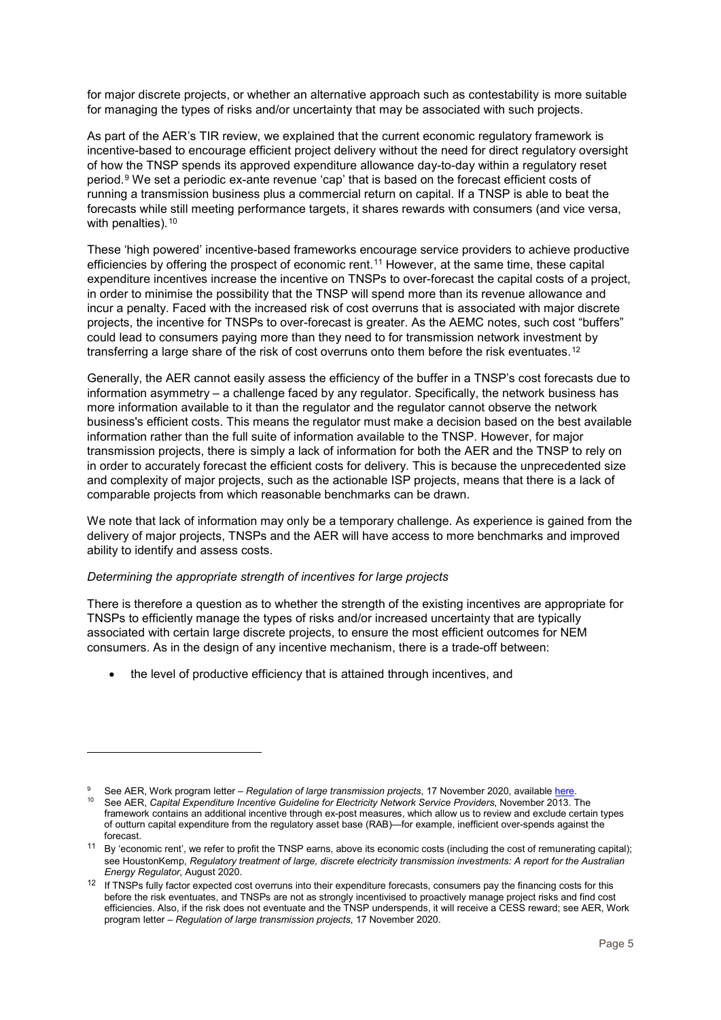for major discrete projects, or whether an alternative approach such as contestability is more suitable for managing the types of risks and/or uncertainty that may be associated with such projects.

As part of the AER's TIR review, we explained that the current economic regulatory framework is incentive-based to encourage efficient project delivery without the need for direct regulatory oversight of how the TNSP spends its approved expenditure allowance day-to-day within a regulatory reset period.9 We set a periodic ex-ante revenue 'cap' that is based on the forecast efficient costs of running a transmission business plus a commercial return on capital. If a TNSP is able to beat the foreca[st](#page-4-0)s while still meeting performance targets, it shares rewards with consumers (and vice versa, with penalties).<sup>10</sup>

These 'high po[we](#page-4-1)red' incentive-based frameworks encourage service providers to achieve productive efficiencies by offering the prospect of economic rent.11 However, at the same time, these capital expenditure incentives increase the incentive on TNSPs to over-forecast the capital costs of a project, in order to minimise the possibility that the TNSP will [sp](#page-4-2)end more than its revenue allowance and incur a penalty. Faced with the increased risk of cost overruns that is associated with major discrete projects, the incentive for TNSPs to over-forecast is greater. As the AEMC notes, such cost "buffers" could lead to consumers paying more than they need to for transmission network investment by transferring a large share of the risk of cost overruns onto them before the risk eventuates.<sup>12</sup>

Generally, the AER cannot easily assess the efficiency of the buffer in a TNSP's cost forec[as](#page-4-3)ts due to information asymmetry – a challenge faced by any regulator. Specifically, the network business has more information available to it than the regulator and the regulator cannot observe the network business's efficient costs. This means the regulator must make a decision based on the best available information rather than the full suite of information available to the TNSP. However, for major transmission projects, there is simply a lack of information for both the AER and the TNSP to rely on in order to accurately forecast the efficient costs for delivery. This is because the unprecedented size and complexity of major projects, such as the actionable ISP projects, means that there is a lack of comparable projects from which reasonable benchmarks can be drawn.

We note that lack of information may only be a temporary challenge. As experience is gained from the delivery of major projects, TNSPs and the AER will have access to more benchmarks and improved ability to identify and assess costs.

## *Determining the appropriate strength of incentives for large projects*

-

There is therefore a question as to whether the strength of the existing incentives are appropriate for TNSPs to efficiently manage the types of risks and/or increased uncertainty that are typically associated with certain large discrete projects, to ensure the most efficient outcomes for NEM consumers. As in the design of any incentive mechanism, there is a trade-off between:

• the level of productive efficiency that is attained through incentives, and

<span id="page-4-0"></span><sup>&</sup>lt;sup>9</sup> See AER, Work program letter – *Regulation of large transmission projects*, 17 November 2020, available <u>here.</u>

<span id="page-4-1"></span><sup>10</sup> See AER, *Capital Expenditure Incentive Guideline for Electricity Network Service Providers*, November 2013. The framework contains an additional incentive through ex-post measures, which allow us to review and exclude certain types of outturn capital expenditure from the regulatory asset base (RAB)—for example, inefficient over-spends against the forecast.

<span id="page-4-2"></span><sup>11</sup> By 'economic rent', we refer to profit the TNSP earns, above its economic costs (including the cost of remunerating capital); see HoustonKemp, *Regulatory treatment of large, discrete electricity transmission investments: A report for the Australian Energy Regulator*, August 2020.

<span id="page-4-3"></span><sup>&</sup>lt;sup>12</sup> If TNSPs fully factor expected cost overruns into their expenditure forecasts, consumers pay the financing costs for this before the risk eventuates, and TNSPs are not as strongly incentivised to proactively manage project risks and find cost efficiencies. Also, if the risk does not eventuate and the TNSP underspends, it will receive a CESS reward; see AER, Work program letter – *Regulation of large transmission projects*, 17 November 2020.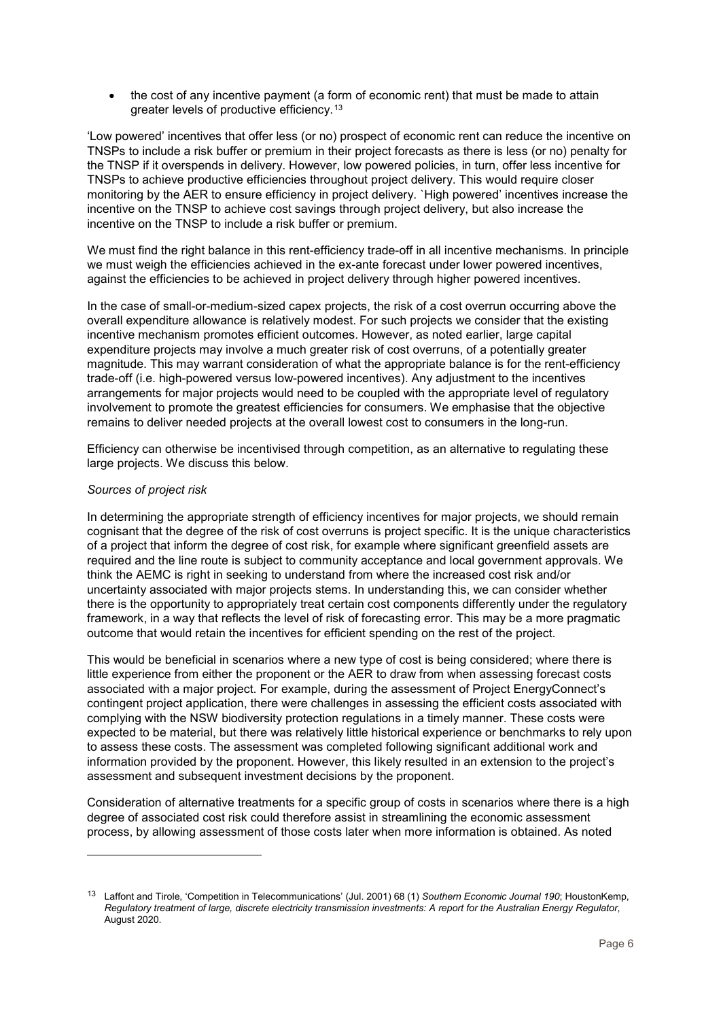• the cost of any incentive payment (a form of economic rent) that must be made to attain greater levels of productive efficiency.[13](#page-5-0)

'Low powered' incentives that offer less (or no) prospect of economic rent can reduce the incentive on TNSPs to include a risk buffer or premium in their project forecasts as there is less (or no) penalty for the TNSP if it overspends in delivery. However, low powered policies, in turn, offer less incentive for TNSPs to achieve productive efficiencies throughout project delivery. This would require closer monitoring by the AER to ensure efficiency in project delivery. `High powered' incentives increase the incentive on the TNSP to achieve cost savings through project delivery, but also increase the incentive on the TNSP to include a risk buffer or premium.

We must find the right balance in this rent-efficiency trade-off in all incentive mechanisms. In principle we must weigh the efficiencies achieved in the ex-ante forecast under lower powered incentives, against the efficiencies to be achieved in project delivery through higher powered incentives.

In the case of small-or-medium-sized capex projects, the risk of a cost overrun occurring above the overall expenditure allowance is relatively modest. For such projects we consider that the existing incentive mechanism promotes efficient outcomes. However, as noted earlier, large capital expenditure projects may involve a much greater risk of cost overruns, of a potentially greater magnitude. This may warrant consideration of what the appropriate balance is for the rent-efficiency trade-off (i.e. high-powered versus low-powered incentives). Any adjustment to the incentives arrangements for major projects would need to be coupled with the appropriate level of regulatory involvement to promote the greatest efficiencies for consumers. We emphasise that the objective remains to deliver needed projects at the overall lowest cost to consumers in the long-run.

Efficiency can otherwise be incentivised through competition, as an alternative to regulating these large projects. We discuss this below.

# *Sources of project risk*

-

In determining the appropriate strength of efficiency incentives for major projects, we should remain cognisant that the degree of the risk of cost overruns is project specific. It is the unique characteristics of a project that inform the degree of cost risk, for example where significant greenfield assets are required and the line route is subject to community acceptance and local government approvals. We think the AEMC is right in seeking to understand from where the increased cost risk and/or uncertainty associated with major projects stems. In understanding this, we can consider whether there is the opportunity to appropriately treat certain cost components differently under the regulatory framework, in a way that reflects the level of risk of forecasting error. This may be a more pragmatic outcome that would retain the incentives for efficient spending on the rest of the project.

This would be beneficial in scenarios where a new type of cost is being considered; where there is little experience from either the proponent or the AER to draw from when assessing forecast costs associated with a major project. For example, during the assessment of Project EnergyConnect's contingent project application, there were challenges in assessing the efficient costs associated with complying with the NSW biodiversity protection regulations in a timely manner. These costs were expected to be material, but there was relatively little historical experience or benchmarks to rely upon to assess these costs. The assessment was completed following significant additional work and information provided by the proponent. However, this likely resulted in an extension to the project's assessment and subsequent investment decisions by the proponent.

Consideration of alternative treatments for a specific group of costs in scenarios where there is a high degree of associated cost risk could therefore assist in streamlining the economic assessment process, by allowing assessment of those costs later when more information is obtained. As noted

<span id="page-5-0"></span><sup>13</sup> Laffont and Tirole, 'Competition in Telecommunications' (Jul. 2001) 68 (1) *Southern Economic Journal 190*; HoustonKemp, *Regulatory treatment of large, discrete electricity transmission investments: A report for the Australian Energy Regulator*, August 2020.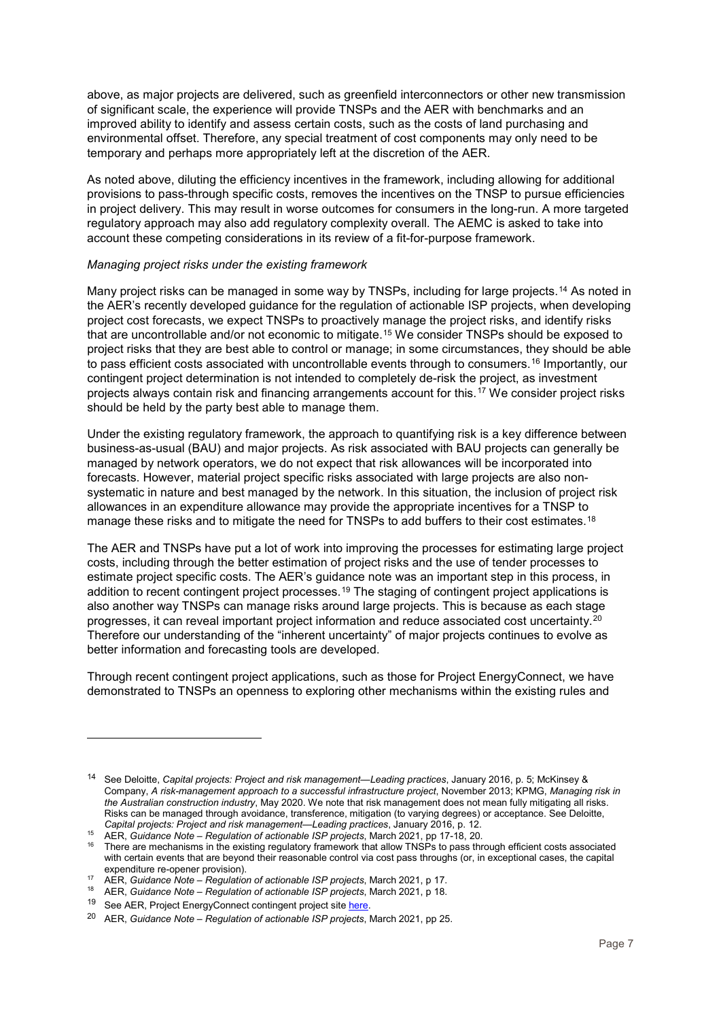above, as major projects are delivered, such as greenfield interconnectors or other new transmission of significant scale, the experience will provide TNSPs and the AER with benchmarks and an improved ability to identify and assess certain costs, such as the costs of land purchasing and environmental offset. Therefore, any special treatment of cost components may only need to be temporary and perhaps more appropriately left at the discretion of the AER.

As noted above, diluting the efficiency incentives in the framework, including allowing for additional provisions to pass-through specific costs, removes the incentives on the TNSP to pursue efficiencies in project delivery. This may result in worse outcomes for consumers in the long-run. A more targeted regulatory approach may also add regulatory complexity overall. The AEMC is asked to take into account these competing considerations in its review of a fit-for-purpose framework.

#### *Managing project risks under the existing framework*

Many project risks can be managed in some way by TNSPs, including for large projects, <sup>[14](#page-6-0)</sup> As noted in the AER's recently developed guidance for the regulation of actionable ISP projects, when developing project cost forecasts, we expect TNSPs to proactively manage the project risks, and identify risks that are uncontrollable and/or not economic to mitigate.[15](#page-6-1) We consider TNSPs should be exposed to project risks that they are best able to control or manage; in some circumstances, they should be able to pass efficient costs associated with uncontrollable events through to consumers.<sup>[16](#page-6-2)</sup> Importantly, our contingent project determination is not intended to completely de-risk the project, as investment projects always contain risk and financing arrangements account for this.[17](#page-6-3) We consider project risks should be held by the party best able to manage them.

Under the existing regulatory framework, the approach to quantifying risk is a key difference between business-as-usual (BAU) and major projects. As risk associated with BAU projects can generally be managed by network operators, we do not expect that risk allowances will be incorporated into forecasts. However, material project specific risks associated with large projects are also nonsystematic in nature and best managed by the network. In this situation, the inclusion of project risk allowances in an expenditure allowance may provide the appropriate incentives for a TNSP to manage these risks and to mitigate the need for TNSPs to add buffers to their cost estimates.<sup>[18](#page-6-4)</sup>

The AER and TNSPs have put a lot of work into improving the processes for estimating large project costs, including through the better estimation of project risks and the use of tender processes to estimate project specific costs. The AER's guidance note was an important step in this process, in addition to recent contingent project processes.<sup>[19](#page-6-5)</sup> The staging of contingent project applications is also another way TNSPs can manage risks around large projects. This is because as each stage progresses, it can reveal important project information and reduce associated cost uncertainty.[20](#page-6-6) Therefore our understanding of the "inherent uncertainty" of major projects continues to evolve as better information and forecasting tools are developed.

Through recent contingent project applications, such as those for Project EnergyConnect, we have demonstrated to TNSPs an openness to exploring other mechanisms within the existing rules and

<span id="page-6-0"></span><sup>14</sup> See Deloitte, *Capital projects: Project and risk management—Leading practices*, January 2016, p. 5; McKinsey & Company, *A risk-management approach to a successful infrastructure project*, November 2013; KPMG, *Managing risk in the Australian construction industry*, May 2020. We note that risk management does not mean fully mitigating all risks. Risks can be managed through avoidance, transference, mitigation (to varying degrees) or acceptance. See Deloitte, *Capital projects: Project and risk management—Leading practices*, January 2016, p. 12.

<sup>15</sup> AER, *Guidance Note – Regulation of actionable ISP projects*, March 2021, pp 17-18, 20.

<span id="page-6-2"></span><span id="page-6-1"></span><sup>16</sup> There are mechanisms in the existing regulatory framework that allow TNSPs to pass through efficient costs associated with certain events that are beyond their reasonable control via cost pass throughs (or, in exceptional cases, the capital expenditure re-opener provision).

<span id="page-6-3"></span><sup>17</sup> AER, *Guidance Note – Regulation of actionable ISP projects*, March 2021, p 17.

<sup>18</sup> AER, *Guidance Note – Regulation of actionable ISP projects*, March 2021, p 18.

<span id="page-6-5"></span><span id="page-6-4"></span><sup>&</sup>lt;sup>19</sup> See AER, Project EnergyConnect contingent project site [here.](https://www.aer.gov.au/networks-pipelines/determinations-access-arrangements/contingent-projects/transgrid-and-electranet-%E2%80%93-project-energyconnect-contingent-project)

<span id="page-6-6"></span><sup>20</sup> AER, *Guidance Note – Regulation of actionable ISP projects*, March 2021, pp 25.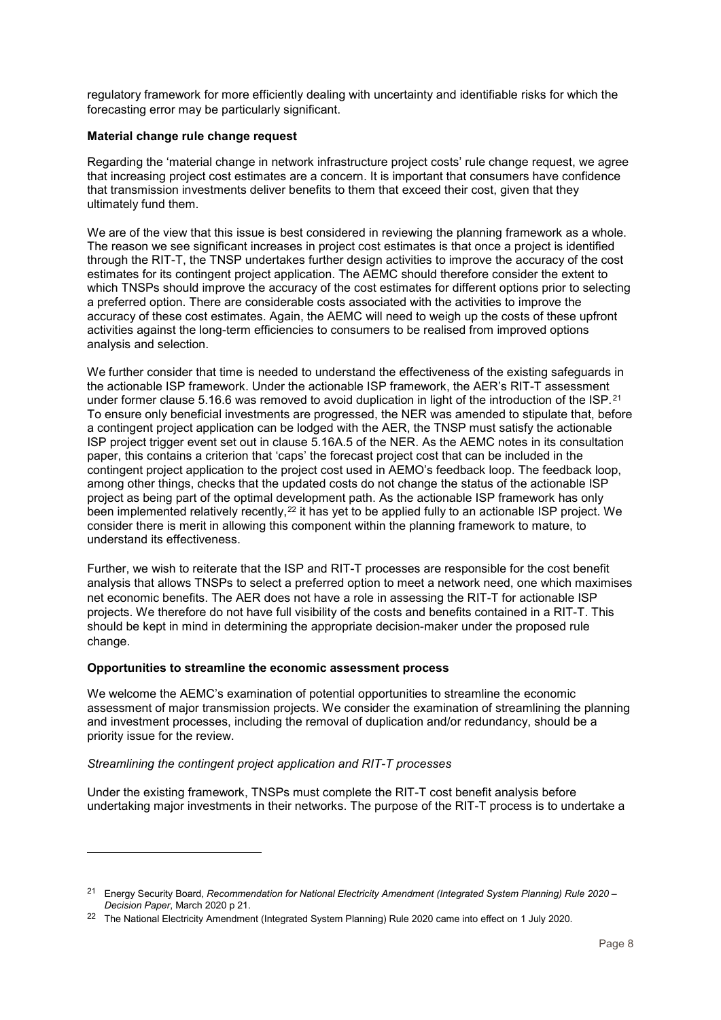regulatory framework for more efficiently dealing with uncertainty and identifiable risks for which the forecasting error may be particularly significant.

#### **Material change rule change request**

Regarding the 'material change in network infrastructure project costs' rule change request, we agree that increasing project cost estimates are a concern. It is important that consumers have confidence that transmission investments deliver benefits to them that exceed their cost, given that they ultimately fund them.

We are of the view that this issue is best considered in reviewing the planning framework as a whole. The reason we see significant increases in project cost estimates is that once a project is identified through the RIT-T, the TNSP undertakes further design activities to improve the accuracy of the cost estimates for its contingent project application. The AEMC should therefore consider the extent to which TNSPs should improve the accuracy of the cost estimates for different options prior to selecting a preferred option. There are considerable costs associated with the activities to improve the accuracy of these cost estimates. Again, the AEMC will need to weigh up the costs of these upfront activities against the long-term efficiencies to consumers to be realised from improved options analysis and selection.

We further consider that time is needed to understand the effectiveness of the existing safeguards in the actionable ISP framework. Under the actionable ISP framework, the AER's RIT-T assessment under former clause 5.16.6 was removed to avoid duplication in light of the introduction of the ISP.<sup>[21](#page-7-0)</sup> To ensure only beneficial investments are progressed, the NER was amended to stipulate that, before a contingent project application can be lodged with the AER, the TNSP must satisfy the actionable ISP project trigger event set out in clause 5.16A.5 of the NER. As the AEMC notes in its consultation paper, this contains a criterion that 'caps' the forecast project cost that can be included in the contingent project application to the project cost used in AEMO's feedback loop. The feedback loop, among other things, checks that the updated costs do not change the status of the actionable ISP project as being part of the optimal development path. As the actionable ISP framework has only been implemented relatively recently,<sup>[22](#page-7-1)</sup> it has yet to be applied fully to an actionable ISP project. We consider there is merit in allowing this component within the planning framework to mature, to understand its effectiveness.

Further, we wish to reiterate that the ISP and RIT-T processes are responsible for the cost benefit analysis that allows TNSPs to select a preferred option to meet a network need, one which maximises net economic benefits. The AER does not have a role in assessing the RIT-T for actionable ISP projects. We therefore do not have full visibility of the costs and benefits contained in a RIT-T. This should be kept in mind in determining the appropriate decision-maker under the proposed rule change.

#### **Opportunities to streamline the economic assessment process**

We welcome the AEMC's examination of potential opportunities to streamline the economic assessment of major transmission projects. We consider the examination of streamlining the planning and investment processes, including the removal of duplication and/or redundancy, should be a priority issue for the review.

#### *Streamlining the contingent project application and RIT-T processes*

-

Under the existing framework, TNSPs must complete the RIT-T cost benefit analysis before undertaking major investments in their networks. The purpose of the RIT-T process is to undertake a

<span id="page-7-0"></span><sup>21</sup> Energy Security Board, *Recommendation for National Electricity Amendment (Integrated System Planning) Rule 2020 – Decision Paper*, March 2020 p 21.

<span id="page-7-1"></span><sup>&</sup>lt;sup>22</sup> The National Electricity Amendment (Integrated System Planning) Rule 2020 came into effect on 1 July 2020.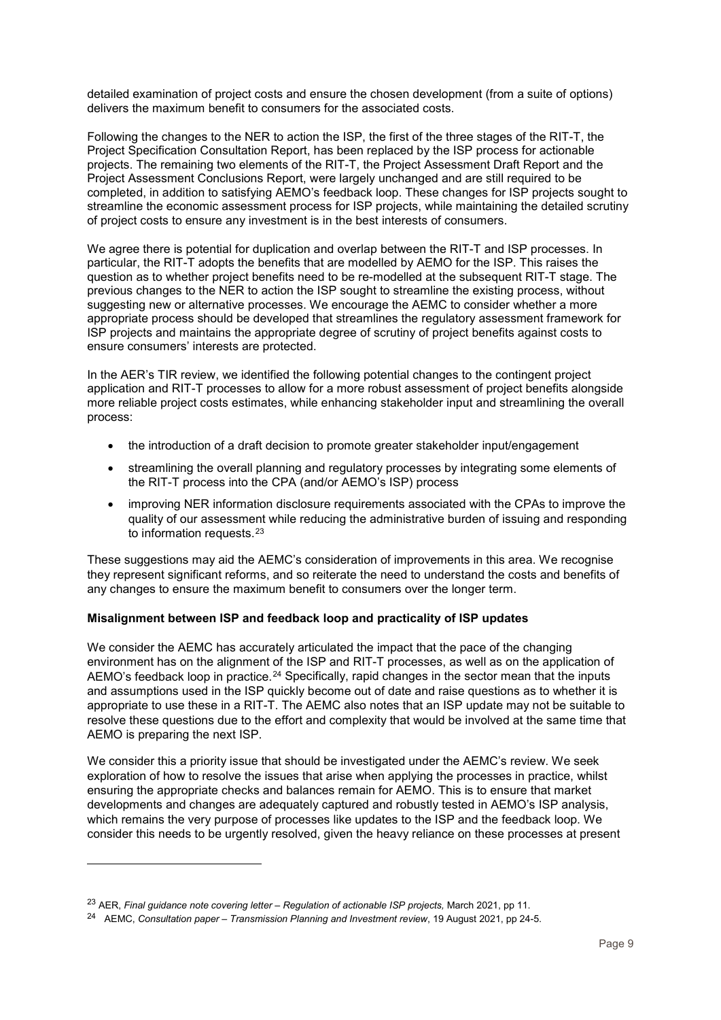detailed examination of project costs and ensure the chosen development (from a suite of options) delivers the maximum benefit to consumers for the associated costs.

Following the changes to the NER to action the ISP, the first of the three stages of the RIT-T, the Project Specification Consultation Report, has been replaced by the ISP process for actionable projects. The remaining two elements of the RIT-T, the Project Assessment Draft Report and the Project Assessment Conclusions Report, were largely unchanged and are still required to be completed, in addition to satisfying AEMO's feedback loop. These changes for ISP projects sought to streamline the economic assessment process for ISP projects, while maintaining the detailed scrutiny of project costs to ensure any investment is in the best interests of consumers.

We agree there is potential for duplication and overlap between the RIT-T and ISP processes. In particular, the RIT-T adopts the benefits that are modelled by AEMO for the ISP. This raises the question as to whether project benefits need to be re-modelled at the subsequent RIT-T stage. The previous changes to the NER to action the ISP sought to streamline the existing process, without suggesting new or alternative processes. We encourage the AEMC to consider whether a more appropriate process should be developed that streamlines the regulatory assessment framework for ISP projects and maintains the appropriate degree of scrutiny of project benefits against costs to ensure consumers' interests are protected.

In the AER's TIR review, we identified the following potential changes to the contingent project application and RIT-T processes to allow for a more robust assessment of project benefits alongside more reliable project costs estimates, while enhancing stakeholder input and streamlining the overall process:

- the introduction of a draft decision to promote greater stakeholder input/engagement
- streamlining the overall planning and regulatory processes by integrating some elements of the RIT-T process into the CPA (and/or AEMO's ISP) process
- improving NER information disclosure requirements associated with the CPAs to improve the quality of our assessment while reducing the administrative burden of issuing and responding to information requests.[23](#page-8-0)

These suggestions may aid the AEMC's consideration of improvements in this area. We recognise they represent significant reforms, and so reiterate the need to understand the costs and benefits of any changes to ensure the maximum benefit to consumers over the longer term.

# **Misalignment between ISP and feedback loop and practicality of ISP updates**

We consider the AEMC has accurately articulated the impact that the pace of the changing environment has on the alignment of the ISP and RIT-T processes, as well as on the application of AEMO's feedback loop in practice.<sup>[24](#page-8-1)</sup> Specifically, rapid changes in the sector mean that the inputs and assumptions used in the ISP quickly become out of date and raise questions as to whether it is appropriate to use these in a RIT-T. The AEMC also notes that an ISP update may not be suitable to resolve these questions due to the effort and complexity that would be involved at the same time that AEMO is preparing the next ISP.

We consider this a priority issue that should be investigated under the AEMC's review. We seek exploration of how to resolve the issues that arise when applying the processes in practice, whilst ensuring the appropriate checks and balances remain for AEMO. This is to ensure that market developments and changes are adequately captured and robustly tested in AEMO's ISP analysis, which remains the very purpose of processes like updates to the ISP and the feedback loop. We consider this needs to be urgently resolved, given the heavy reliance on these processes at present

<span id="page-8-0"></span><sup>23</sup> AER, *Final guidance note covering letter – Regulation of actionable ISP projects,* March 2021, pp 11.

<span id="page-8-1"></span><sup>24</sup> AEMC, *Consultation paper – Transmission Planning and Investment review*, 19 August 2021, pp 24-5.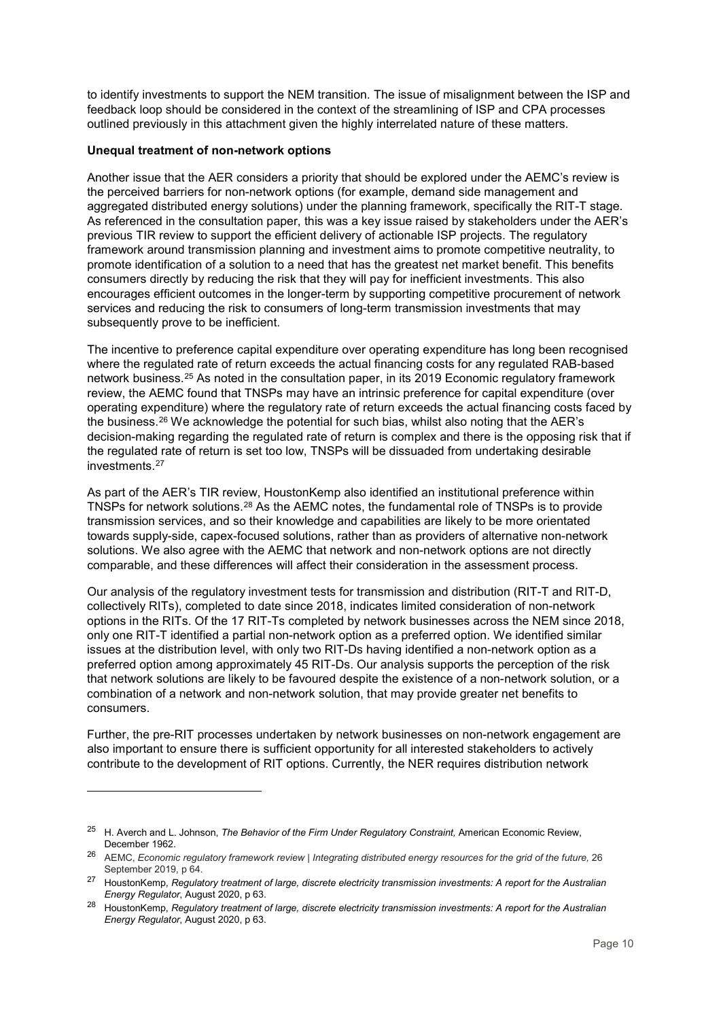to identify investments to support the NEM transition. The issue of misalignment between the ISP and feedback loop should be considered in the context of the streamlining of ISP and CPA processes outlined previously in this attachment given the highly interrelated nature of these matters.

## **Unequal treatment of non-network options**

-

Another issue that the AER considers a priority that should be explored under the AEMC's review is the perceived barriers for non-network options (for example, demand side management and aggregated distributed energy solutions) under the planning framework, specifically the RIT-T stage. As referenced in the consultation paper, this was a key issue raised by stakeholders under the AER's previous TIR review to support the efficient delivery of actionable ISP projects. The regulatory framework around transmission planning and investment aims to promote competitive neutrality, to promote identification of a solution to a need that has the greatest net market benefit. This benefits consumers directly by reducing the risk that they will pay for inefficient investments. This also encourages efficient outcomes in the longer-term by supporting competitive procurement of network services and reducing the risk to consumers of long-term transmission investments that may subsequently prove to be inefficient.

The incentive to preference capital expenditure over operating expenditure has long been recognised where the regulated rate of return exceeds the actual financing costs for any regulated RAB-based network business.[25](#page-9-0) As noted in the consultation paper, in its 2019 Economic regulatory framework review, the AEMC found that TNSPs may have an intrinsic preference for capital expenditure (over operating expenditure) where the regulatory rate of return exceeds the actual financing costs faced by the business.<sup>[26](#page-9-1)</sup> We acknowledge the potential for such bias, whilst also noting that the AER's decision-making regarding the regulated rate of return is complex and there is the opposing risk that if the regulated rate of return is set too low, TNSPs will be dissuaded from undertaking desirable investments.[27](#page-9-2)

As part of the AER's TIR review, HoustonKemp also identified an institutional preference within TNSPs for network solutions[.28](#page-9-3) As the AEMC notes, the fundamental role of TNSPs is to provide transmission services, and so their knowledge and capabilities are likely to be more orientated towards supply-side, capex-focused solutions, rather than as providers of alternative non-network solutions. We also agree with the AEMC that network and non-network options are not directly comparable, and these differences will affect their consideration in the assessment process.

Our analysis of the regulatory investment tests for transmission and distribution (RIT-T and RIT-D, collectively RITs), completed to date since 2018, indicates limited consideration of non-network options in the RITs. Of the 17 RIT-Ts completed by network businesses across the NEM since 2018, only one RIT-T identified a partial non-network option as a preferred option. We identified similar issues at the distribution level, with only two RIT-Ds having identified a non-network option as a preferred option among approximately 45 RIT-Ds. Our analysis supports the perception of the risk that network solutions are likely to be favoured despite the existence of a non-network solution, or a combination of a network and non-network solution, that may provide greater net benefits to consumers.

Further, the pre-RIT processes undertaken by network businesses on non-network engagement are also important to ensure there is sufficient opportunity for all interested stakeholders to actively contribute to the development of RIT options. Currently, the NER requires distribution network

<span id="page-9-0"></span><sup>25</sup> H. Averch and L. Johnson, *The Behavior of the Firm Under Regulatory Constraint,* American Economic Review, December 1962.

<span id="page-9-1"></span><sup>&</sup>lt;sup>26</sup> AEMC, *Economic regulatory framework review | Integrating distributed energy resources for the grid of the future, 26* September 2019, p 64.

<span id="page-9-2"></span><sup>27</sup> HoustonKemp, *Regulatory treatment of large, discrete electricity transmission investments: A report for the Australian Energy Regulator*, August 2020, p 63.

<span id="page-9-3"></span><sup>28</sup> HoustonKemp, *Regulatory treatment of large, discrete electricity transmission investments: A report for the Australian Energy Regulator*, August 2020, p 63.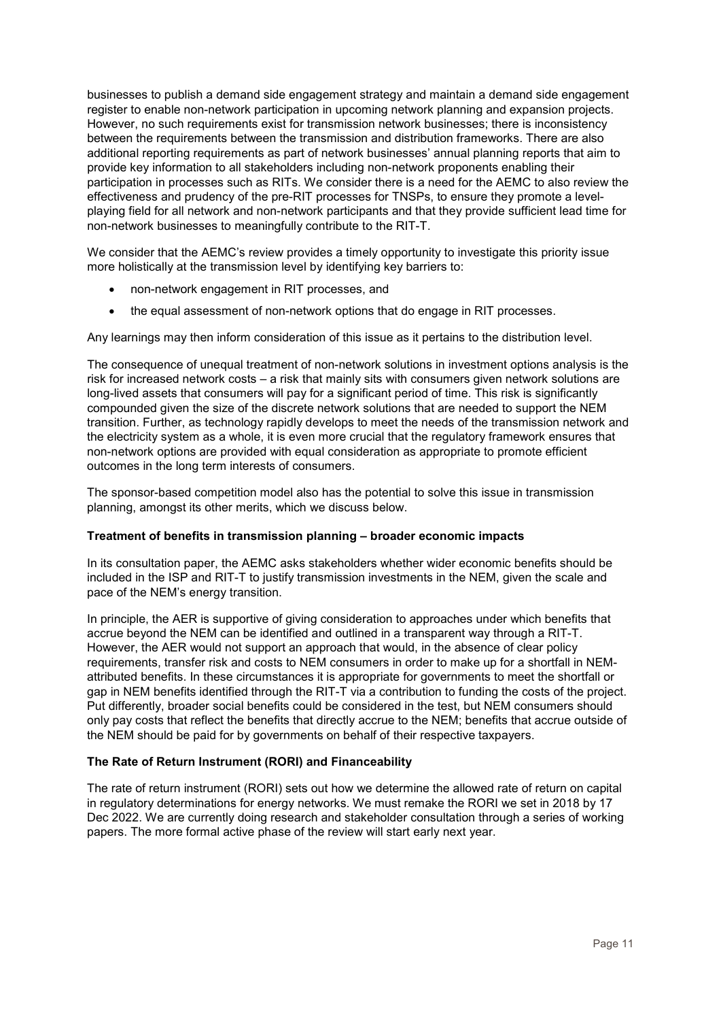businesses to publish a demand side engagement strategy and maintain a demand side engagement register to enable non-network participation in upcoming network planning and expansion projects. However, no such requirements exist for transmission network businesses; there is inconsistency between the requirements between the transmission and distribution frameworks. There are also additional reporting requirements as part of network businesses' annual planning reports that aim to provide key information to all stakeholders including non-network proponents enabling their participation in processes such as RITs. We consider there is a need for the AEMC to also review the effectiveness and prudency of the pre-RIT processes for TNSPs, to ensure they promote a levelplaying field for all network and non-network participants and that they provide sufficient lead time for non-network businesses to meaningfully contribute to the RIT-T.

We consider that the AEMC's review provides a timely opportunity to investigate this priority issue more holistically at the transmission level by identifying key barriers to:

- non-network engagement in RIT processes, and
- the equal assessment of non-network options that do engage in RIT processes.

Any learnings may then inform consideration of this issue as it pertains to the distribution level.

The consequence of unequal treatment of non-network solutions in investment options analysis is the risk for increased network costs – a risk that mainly sits with consumers given network solutions are long-lived assets that consumers will pay for a significant period of time. This risk is significantly compounded given the size of the discrete network solutions that are needed to support the NEM transition. Further, as technology rapidly develops to meet the needs of the transmission network and the electricity system as a whole, it is even more crucial that the regulatory framework ensures that non-network options are provided with equal consideration as appropriate to promote efficient outcomes in the long term interests of consumers.

The sponsor-based competition model also has the potential to solve this issue in transmission planning, amongst its other merits, which we discuss below.

## **Treatment of benefits in transmission planning – broader economic impacts**

In its consultation paper, the AEMC asks stakeholders whether wider economic benefits should be included in the ISP and RIT-T to justify transmission investments in the NEM, given the scale and pace of the NEM's energy transition.

In principle, the AER is supportive of giving consideration to approaches under which benefits that accrue beyond the NEM can be identified and outlined in a transparent way through a RIT-T. However, the AER would not support an approach that would, in the absence of clear policy requirements, transfer risk and costs to NEM consumers in order to make up for a shortfall in NEMattributed benefits. In these circumstances it is appropriate for governments to meet the shortfall or gap in NEM benefits identified through the RIT-T via a contribution to funding the costs of the project. Put differently, broader social benefits could be considered in the test, but NEM consumers should only pay costs that reflect the benefits that directly accrue to the NEM; benefits that accrue outside of the NEM should be paid for by governments on behalf of their respective taxpayers.

## **The Rate of Return Instrument (RORI) and Financeability**

The rate of return instrument (RORI) sets out how we determine the allowed rate of return on capital in regulatory determinations for energy networks. We must remake the RORI we set in 2018 by 17 Dec 2022. We are currently doing research and stakeholder consultation through a series of working papers. The more formal active phase of the review will start early next year.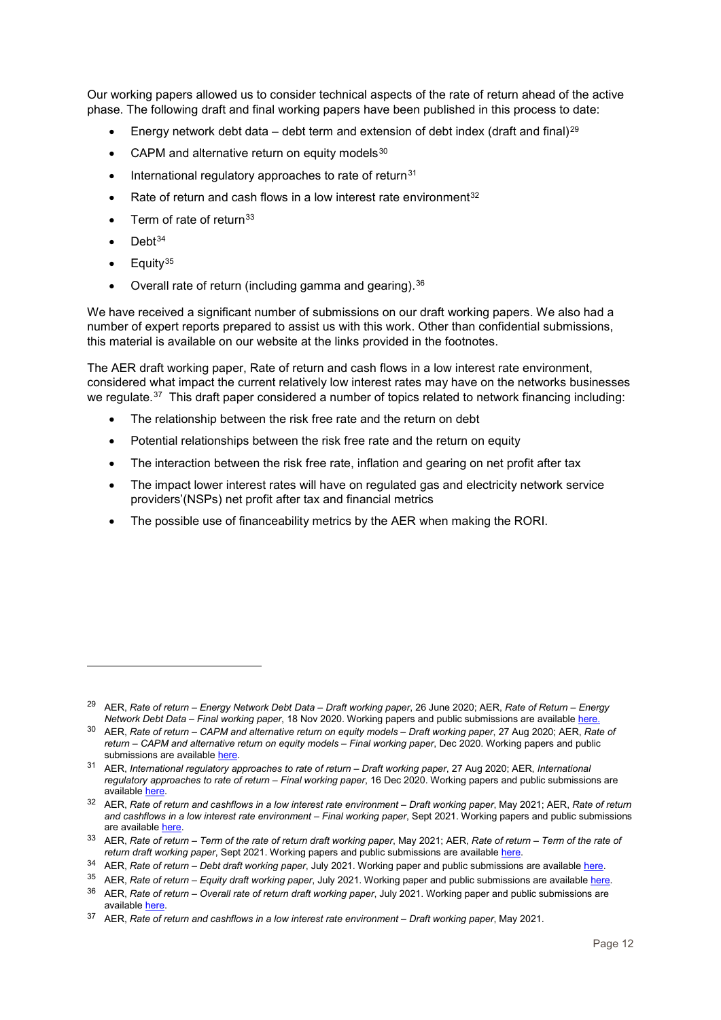Our working papers allowed us to consider technical aspects of the rate of return ahead of the active phase. The following draft and final working papers have been published in this process to date:

- Energy network debt data debt term and extension of debt index (draft and final)<sup>[29](#page-11-0)</sup>
- CAPM and alternative return on equity models  $30$
- $\bullet$  International regulatory approaches to rate of return<sup>[31](#page-11-2)</sup>
- Rate of return and cash flows in a low interest rate environment<sup>[32](#page-11-3)</sup>
- $\bullet$  Term of rate of return<sup>[33](#page-11-4)</sup>
- $\bullet$  Debt<sup>[34](#page-11-5)</sup>

-

- $\bullet$  Equity<sup>[35](#page-11-6)</sup>
- Overall rate of return (including gamma and gearing).<sup>[36](#page-11-7)</sup>

We have received a significant number of submissions on our draft working papers. We also had a number of expert reports prepared to assist us with this work. Other than confidential submissions, this material is available on our website at the links provided in the footnotes.

The AER draft working paper, Rate of return and cash flows in a low interest rate environment, considered what impact the current relatively low interest rates may have on the networks businesses we regulate.<sup>[37](#page-11-8)</sup> This draft paper considered a number of topics related to network financing including:

- The relationship between the risk free rate and the return on debt
- Potential relationships between the risk free rate and the return on equity
- The interaction between the risk free rate, inflation and gearing on net profit after tax
- The impact lower interest rates will have on regulated gas and electricity network service providers'(NSPs) net profit after tax and financial metrics
- The possible use of financeability metrics by the AER when making the RORI.

<span id="page-11-0"></span><sup>29</sup> AER, *Rate of return – Energy Network Debt Data – Draft working paper*, 26 June 2020; AER, *Rate of Return – Energy Network Debt Data – Final working paper*, 18 Nov 2020. Working papers and public submissions are availabl[e here.](https://www.aer.gov.au/networks-pipelines/guidelines-schemes-models-reviews/energy-network-debt-data-pathway-to-rate-of-return-2022)

<span id="page-11-1"></span><sup>30</sup> AER, *Rate of return – CAPM and alternative return on equity models – Draft working paper*, 27 Aug 2020; AER, *Rate of return – CAPM and alternative return on equity models – Final working paper*, Dec 2020. Working papers and public submissions are available [here.](https://www.aer.gov.au/networks-pipelines/guidelines-schemes-models-reviews/capm-and-alternative-return-on-equity-models-pathway-to-rate-of-return-2022)

<span id="page-11-2"></span><sup>31</sup> AER, *International regulatory approaches to rate of return – Draft working paper*, 27 Aug 2020; AER, *International regulatory approaches to rate of return – Final working paper*, 16 Dec 2020. Working papers and public submissions are available [here.](https://www.aer.gov.au/networks-pipelines/guidelines-schemes-models-reviews/international-regulatory-approaches-to-rate-of-return-pathway-to-rate-of-return-2022)

<span id="page-11-3"></span><sup>32</sup> AER, *Rate of return and cashflows in a low interest rate environment – Draft working paper*, May 2021; AER, *Rate of return and cashflows in a low interest rate environment – Final working paper*, Sept 2021. Working papers and public submissions are available [here.](https://www.aer.gov.au/networks-pipelines/guidelines-schemes-models-reviews/rate-of-return-and-cashflows-in-a-low-interest-rate-environment-pathway-to-rate-of-return-2022)

<span id="page-11-4"></span><sup>33</sup> AER, *Rate of return – Term of the rate of return draft working paper*, May 2021; AER, *Rate of return – Term of the rate of*  return draft working paper, Sept 2021. Working papers and public submissions are available [here.](https://www.aer.gov.au/networks-pipelines/guidelines-schemes-models-reviews/term-of-the-rate-of-return-pathway-to-rate-of-return-2022)

<sup>&</sup>lt;sup>34</sup> AER, *Rate of return – Debt draft working paper*, July 2021. Working paper and public submissions are availabl[e here.](https://www.aer.gov.au/networks-pipelines/guidelines-schemes-models-reviews/rate-of-return-omnibus-papers)

<span id="page-11-7"></span><span id="page-11-6"></span><span id="page-11-5"></span><sup>35</sup> AER, *Rate of return – Equity draft working paper*, July 2021. Working paper and public submissions are availabl[e here.](https://www.aer.gov.au/networks-pipelines/guidelines-schemes-models-reviews/rate-of-return-omnibus-papers)

<sup>36</sup> AER, *Rate of return – Overall rate of return draft working paper*, July 2021. Working paper and public submissions are available [here.](https://www.aer.gov.au/networks-pipelines/guidelines-schemes-models-reviews/rate-of-return-omnibus-papers)

<span id="page-11-8"></span><sup>37</sup> AER, *Rate of return and cashflows in a low interest rate environment – Draft working paper*, May 2021.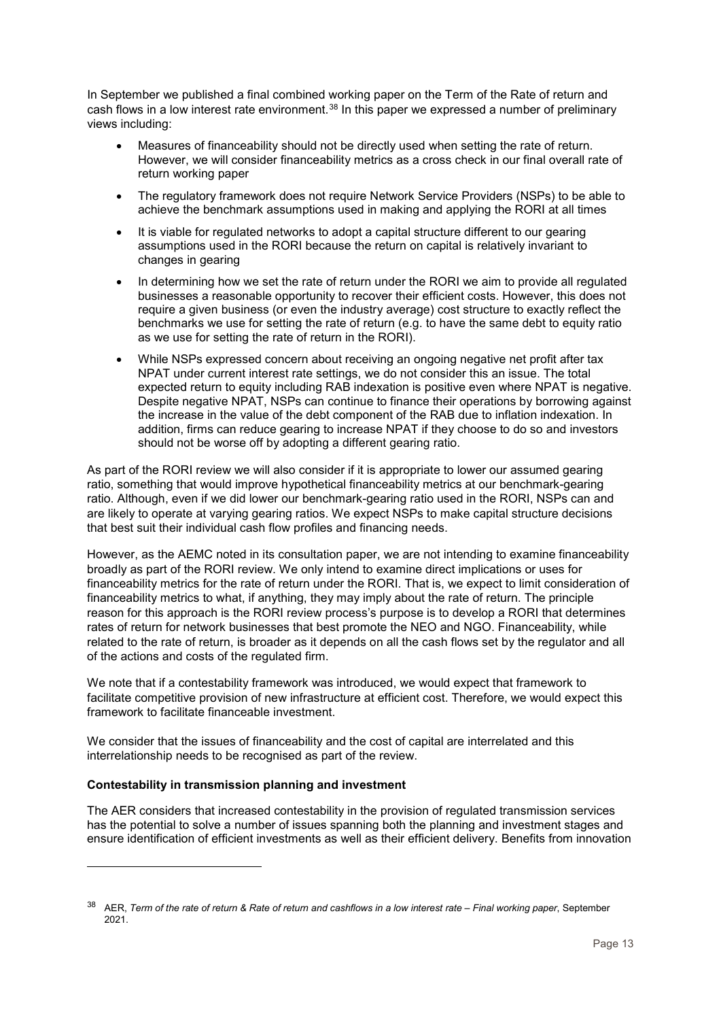In September we published a final combined working paper on the Term of the Rate of return and cash flows in a low interest rate environment.<sup>[38](#page-12-0)</sup> In this paper we expressed a number of preliminary views including:

- Measures of financeability should not be directly used when setting the rate of return. However, we will consider financeability metrics as a cross check in our final overall rate of return working paper
- The regulatory framework does not require Network Service Providers (NSPs) to be able to achieve the benchmark assumptions used in making and applying the RORI at all times
- It is viable for regulated networks to adopt a capital structure different to our gearing assumptions used in the RORI because the return on capital is relatively invariant to changes in gearing
- In determining how we set the rate of return under the RORI we aim to provide all regulated businesses a reasonable opportunity to recover their efficient costs. However, this does not require a given business (or even the industry average) cost structure to exactly reflect the benchmarks we use for setting the rate of return (e.g. to have the same debt to equity ratio as we use for setting the rate of return in the RORI).
- While NSPs expressed concern about receiving an ongoing negative net profit after tax NPAT under current interest rate settings, we do not consider this an issue. The total expected return to equity including RAB indexation is positive even where NPAT is negative. Despite negative NPAT, NSPs can continue to finance their operations by borrowing against the increase in the value of the debt component of the RAB due to inflation indexation. In addition, firms can reduce gearing to increase NPAT if they choose to do so and investors should not be worse off by adopting a different gearing ratio.

As part of the RORI review we will also consider if it is appropriate to lower our assumed gearing ratio, something that would improve hypothetical financeability metrics at our benchmark-gearing ratio. Although, even if we did lower our benchmark-gearing ratio used in the RORI, NSPs can and are likely to operate at varying gearing ratios. We expect NSPs to make capital structure decisions that best suit their individual cash flow profiles and financing needs.

However, as the AEMC noted in its consultation paper, we are not intending to examine financeability broadly as part of the RORI review. We only intend to examine direct implications or uses for financeability metrics for the rate of return under the RORI. That is, we expect to limit consideration of financeability metrics to what, if anything, they may imply about the rate of return. The principle reason for this approach is the RORI review process's purpose is to develop a RORI that determines rates of return for network businesses that best promote the NEO and NGO. Financeability, while related to the rate of return, is broader as it depends on all the cash flows set by the regulator and all of the actions and costs of the regulated firm.

We note that if a contestability framework was introduced, we would expect that framework to facilitate competitive provision of new infrastructure at efficient cost. Therefore, we would expect this framework to facilitate financeable investment.

We consider that the issues of financeability and the cost of capital are interrelated and this interrelationship needs to be recognised as part of the review.

# **Contestability in transmission planning and investment**

-

The AER considers that increased contestability in the provision of regulated transmission services has the potential to solve a number of issues spanning both the planning and investment stages and ensure identification of efficient investments as well as their efficient delivery. Benefits from innovation

<span id="page-12-0"></span><sup>38</sup> AER, *Term of the rate of return & Rate of return and cashflows in a low interest rate – Final working paper*, September 2021.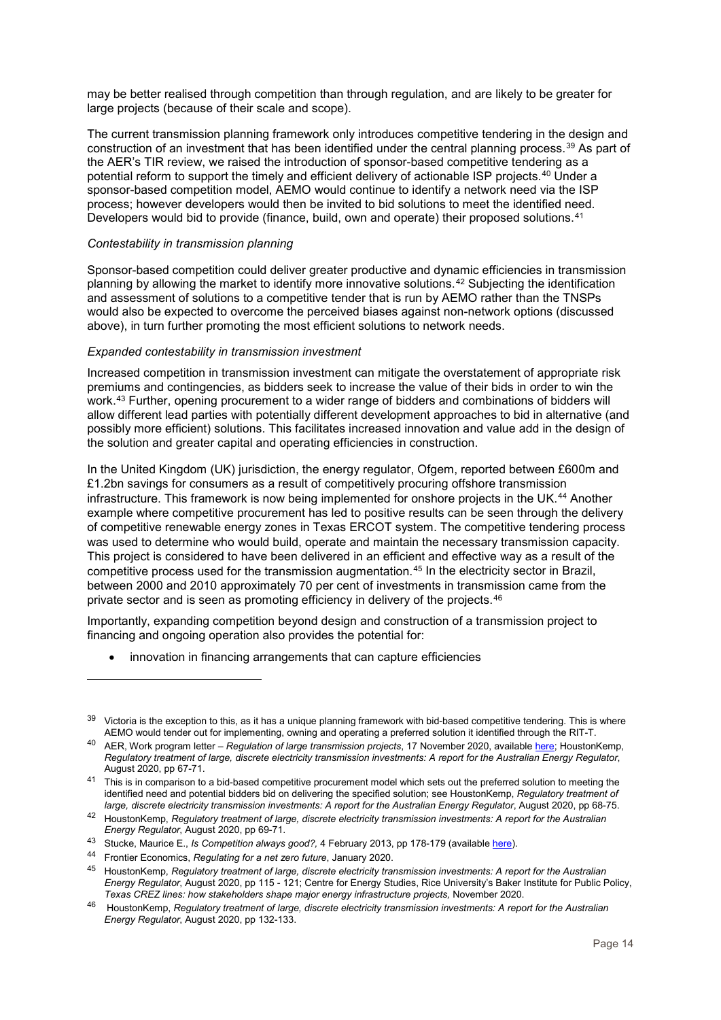may be better realised through competition than through regulation, and are likely to be greater for large projects (because of their scale and scope).

The current transmission planning framework only introduces competitive tendering in the design and construction of an investment that has been identified under the central planning process.[39](#page-13-0) As part of the AER's TIR review, we raised the introduction of sponsor-based competitive tendering as a potential reform to support the timely and efficient delivery of actionable ISP projects.[40](#page-13-1) Under a sponsor-based competition model, AEMO would continue to identify a network need via the ISP process; however developers would then be invited to bid solutions to meet the identified need. Developers would bid to provide (finance, build, own and operate) their proposed solutions.<sup>[41](#page-13-2)</sup>

#### *Contestability in transmission planning*

Sponsor-based competition could deliver greater productive and dynamic efficiencies in transmission planning by allowing the market to identify more innovative solutions.[42](#page-13-3) Subjecting the identification and assessment of solutions to a competitive tender that is run by AEMO rather than the TNSPs would also be expected to overcome the perceived biases against non-network options (discussed above), in turn further promoting the most efficient solutions to network needs.

# *Expanded contestability in transmission investment*

Increased competition in transmission investment can mitigate the overstatement of appropriate risk premiums and contingencies, as bidders seek to increase the value of their bids in order to win the work[.43](#page-13-4) Further, opening procurement to a wider range of bidders and combinations of bidders will allow different lead parties with potentially different development approaches to bid in alternative (and possibly more efficient) solutions. This facilitates increased innovation and value add in the design of the solution and greater capital and operating efficiencies in construction.

In the United Kingdom (UK) jurisdiction, the energy regulator, Ofgem, reported between £600m and £1.2bn savings for consumers as a result of competitively procuring offshore transmission infrastructure. This framework is now being implemented for onshore projects in the UK.[44](#page-13-5) Another example where competitive procurement has led to positive results can be seen through the delivery of competitive renewable energy zones in Texas ERCOT system. The competitive tendering process was used to determine who would build, operate and maintain the necessary transmission capacity. This project is considered to have been delivered in an efficient and effective way as a result of the competitive process used for the transmission augmentation.[45](#page-13-6) In the electricity sector in Brazil, between 2000 and 2010 approximately 70 per cent of investments in transmission came from the private sector and is seen as promoting efficiency in delivery of the projects.[46](#page-13-7)

Importantly, expanding competition beyond design and construction of a transmission project to financing and ongoing operation also provides the potential for:

innovation in financing arrangements that can capture efficiencies

<span id="page-13-0"></span> $39$  Victoria is the exception to this, as it has a unique planning framework with bid-based competitive tendering. This is where AEMO would tender out for implementing, owning and operating a preferred solution it identified through the RIT-T.

<span id="page-13-1"></span><sup>40</sup> AER, Work program letter – *Regulation of large transmission projects*, 17 November 2020, available [here;](https://www.aer.gov.au/system/files/AER%20-%20Work%20program%20letter%20-%20Regulation%20of%20large%20transmission%20projects%20-%20November%202020.pdf) HoustonKemp, *Regulatory treatment of large, discrete electricity transmission investments: A report for the Australian Energy Regulator*, August 2020, pp 67-71.

<span id="page-13-2"></span><sup>&</sup>lt;sup>41</sup> This is in comparison to a bid-based competitive procurement model which sets out the preferred solution to meeting the identified need and potential bidders bid on delivering the specified solution; see HoustonKemp, *Regulatory treatment of large, discrete electricity transmission investments: A report for the Australian Energy Regulator*, August 2020, pp 68-75.

<span id="page-13-3"></span><sup>42</sup> HoustonKemp, *Regulatory treatment of large, discrete electricity transmission investments: A report for the Australian Energy Regulator*, August 2020, pp 69-71.

<span id="page-13-4"></span><sup>43</sup> Stucke, Maurice E., *Is Competition always good?,* 4 February 2013, pp 178-179 (available [here\)](https://academic.oup.com/antitrust/article/1/1/162/274807).

<span id="page-13-5"></span><sup>44</sup> Frontier Economics, *Regulating for a net zero future*, January 2020.

<span id="page-13-6"></span><sup>45</sup> HoustonKemp, *Regulatory treatment of large, discrete electricity transmission investments: A report for the Australian Energy Regulator*, August 2020, pp 115 - 121; Centre for Energy Studies, Rice University's Baker Institute for Public Policy, *Texas CREZ lines: how stakeholders shape major energy infrastructure projects,* November 2020.

<span id="page-13-7"></span><sup>46</sup> HoustonKemp, *Regulatory treatment of large, discrete electricity transmission investments: A report for the Australian Energy Regulator*, August 2020, pp 132-133.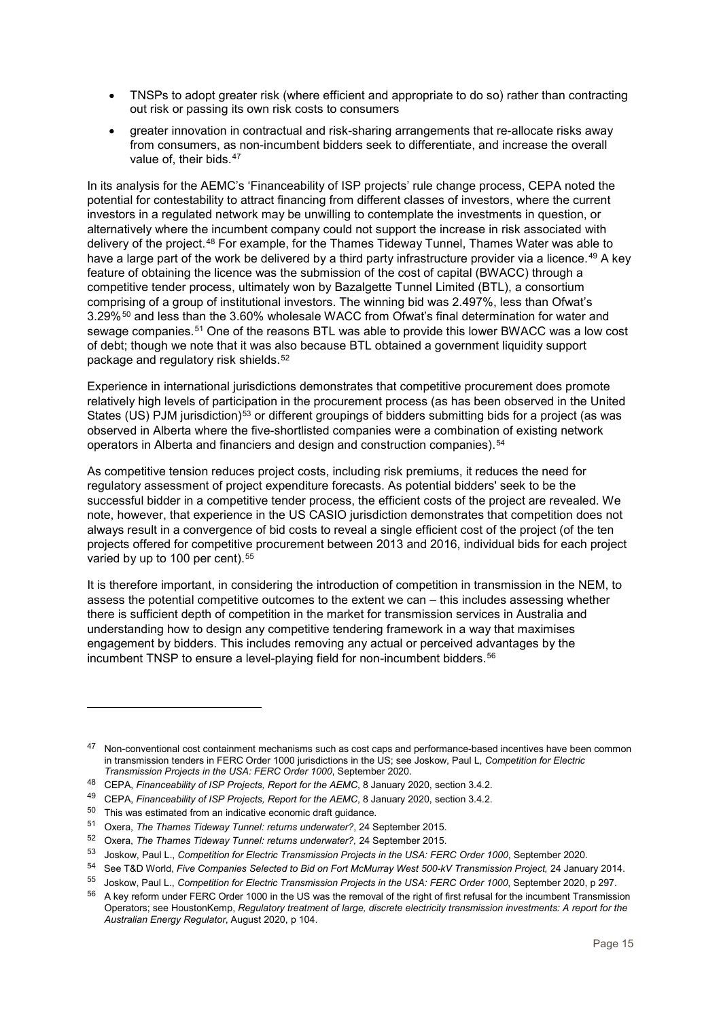- TNSPs to adopt greater risk (where efficient and appropriate to do so) rather than contracting out risk or passing its own risk costs to consumers
- greater innovation in contractual and risk-sharing arrangements that re-allocate risks away from consumers, as non-incumbent bidders seek to differentiate, and increase the overall value of, their bids.<sup>[47](#page-14-0)</sup>

In its analysis for the AEMC's 'Financeability of ISP projects' rule change process, CEPA noted the potential for contestability to attract financing from different classes of investors, where the current investors in a regulated network may be unwilling to contemplate the investments in question, or alternatively where the incumbent company could not support the increase in risk associated with delivery of the project.[48](#page-14-1) For example, for the Thames Tideway Tunnel, Thames Water was able to have a large part of the work be delivered by a third party infrastructure provider via a licence.<sup>[49](#page-14-2)</sup> A key feature of obtaining the licence was the submission of the cost of capital (BWACC) through a competitive tender process, ultimately won by Bazalgette Tunnel Limited (BTL), a consortium comprising of a group of institutional investors. The winning bid was 2.497%, less than Ofwat's 3.29%[50](#page-14-3) and less than the 3.60% wholesale WACC from Ofwat's final determination for water and sewage companies.<sup>[51](#page-14-4)</sup> One of the reasons BTL was able to provide this lower BWACC was a low cost of debt; though we note that it was also because BTL obtained a government liquidity support package and regulatory risk shields.[52](#page-14-5)

Experience in international jurisdictions demonstrates that competitive procurement does promote relatively high levels of participation in the procurement process (as has been observed in the United States (US) PJM jurisdiction)<sup>[53](#page-14-6)</sup> or different groupings of bidders submitting bids for a project (as was observed in Alberta where the five-shortlisted companies were a combination of existing network operators in Alberta and financiers and design and construction companies).[54](#page-14-7)

As competitive tension reduces project costs, including risk premiums, it reduces the need for regulatory assessment of project expenditure forecasts. As potential bidders' seek to be the successful bidder in a competitive tender process, the efficient costs of the project are revealed. We note, however, that experience in the US CASIO jurisdiction demonstrates that competition does not always result in a convergence of bid costs to reveal a single efficient cost of the project (of the ten projects offered for competitive procurement between 2013 and 2016, individual bids for each project varied by up to 100 per cent).<sup>[55](#page-14-8)</sup>

It is therefore important, in considering the introduction of competition in transmission in the NEM, to assess the potential competitive outcomes to the extent we can – this includes assessing whether there is sufficient depth of competition in the market for transmission services in Australia and understanding how to design any competitive tendering framework in a way that maximises engagement by bidders. This includes removing any actual or perceived advantages by the incumbent TNSP to ensure a level-playing field for non-incumbent bidders.<sup>[56](#page-14-9)</sup>

<span id="page-14-0"></span><sup>47</sup> Non-conventional cost containment mechanisms such as cost caps and performance-based incentives have been common in transmission tenders in FERC Order 1000 jurisdictions in the US; see Joskow, Paul L, *Competition for Electric Transmission Projects in the USA: FERC Order 1000*, September 2020.

<span id="page-14-1"></span><sup>48</sup> CEPA, *Financeability of ISP Projects, Report for the AEMC*, 8 January 2020, section 3.4.2.

<span id="page-14-2"></span><sup>49</sup> CEPA, *Financeability of ISP Projects, Report for the AEMC*, 8 January 2020, section 3.4.2.

<span id="page-14-3"></span> $50$  This was estimated from an indicative economic draft guidance.

<span id="page-14-4"></span><sup>51</sup> Oxera, *The Thames Tideway Tunnel: returns underwater?*, 24 September 2015.

<span id="page-14-5"></span><sup>52</sup> Oxera, *The Thames Tideway Tunnel: returns underwater?,* 24 September 2015.

<span id="page-14-6"></span><sup>53</sup> Joskow, Paul L., *Competition for Electric Transmission Projects in the USA: FERC Order 1000*, September 2020.

<sup>54</sup> See T&D World, *Five Companies Selected to Bid on Fort McMurray West 500-kV Transmission Project, 24 January 2014.* 

<span id="page-14-9"></span><span id="page-14-8"></span><span id="page-14-7"></span><sup>55</sup> Joskow, Paul L., *Competition for Electric Transmission Projects in the USA: FERC Order 1000*, September 2020, p 297.

<sup>&</sup>lt;sup>56</sup> A key reform under FERC Order 1000 in the US was the removal of the right of first refusal for the incumbent Transmission Operators; see HoustonKemp, *Regulatory treatment of large, discrete electricity transmission investments: A report for the Australian Energy Regulator*, August 2020, p 104.